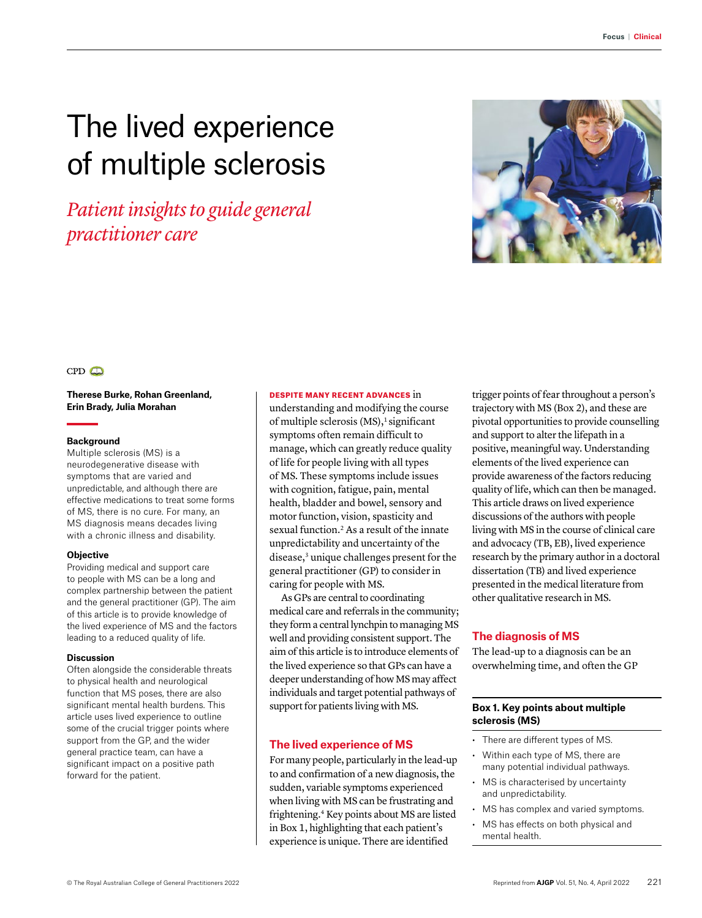# The lived experience of multiple sclerosis

*Patient insights to guide general practitioner care*



#### $CPD$

## **Therese Burke, Rohan Greenland, Erin Brady, Julia Morahan**

#### **Background**

Multiple sclerosis (MS) is a neurodegenerative disease with symptoms that are varied and unpredictable, and although there are effective medications to treat some forms of MS, there is no cure. For many, an MS diagnosis means decades living with a chronic illness and disability.

### **Objective**

Providing medical and support care to people with MS can be a long and complex partnership between the patient and the general practitioner (GP). The aim of this article is to provide knowledge of the lived experience of MS and the factors leading to a reduced quality of life.

#### **Discussion**

Often alongside the considerable threats to physical health and neurological function that MS poses, there are also significant mental health burdens. This article uses lived experience to outline some of the crucial trigger points where support from the GP, and the wider general practice team, can have a significant impact on a positive path forward for the patient.

#### DESPITE MANY RECENT ADVANCES in

understanding and modifying the course of multiple sclerosis  $(MS)$ ,<sup>1</sup> significant symptoms often remain difficult to manage, which can greatly reduce quality of life for people living with all types of MS. These symptoms include issues with cognition, fatigue, pain, mental health, bladder and bowel, sensory and motor function, vision, spasticity and sexual function.2 As a result of the innate unpredictability and uncertainty of the disease,<sup>3</sup> unique challenges present for the general practitioner (GP) to consider in caring for people with MS.

As GPs are central to coordinating medical care and referrals in the community; they form a central lynchpin to managing MS well and providing consistent support. The aim of this article is to introduce elements of the lived experience so that GPs can have a deeper understanding of how MS may affect individuals and target potential pathways of support for patients living with MS.

# **The lived experience of MS**

For many people, particularly in the lead-up to and confirmation of a new diagnosis, the sudden, variable symptoms experienced when living with MS can be frustrating and frightening.4 Key points about MS are listed in Box 1, highlighting that each patient's experience is unique. There are identified

trigger points of fear throughout a person's trajectory with MS (Box 2), and these are pivotal opportunities to provide counselling and support to alter the lifepath in a positive, meaningful way. Understanding elements of the lived experience can provide awareness of the factors reducing quality of life, which can then be managed. This article draws on lived experience discussions of the authors with people living with MS in the course of clinical care and advocacy (TB, EB), lived experience research by the primary author in a doctoral dissertation (TB) and lived experience presented in the medical literature from other qualitative research in MS.

# **The diagnosis of MS**

The lead-up to a diagnosis can be an overwhelming time, and often the GP

# **Box 1. Key points about multiple sclerosis (MS)**

- There are different types of MS.
- Within each type of MS, there are many potential individual pathways.
- MS is characterised by uncertainty and unpredictability.
- MS has complex and varied symptoms.
- MS has effects on both physical and mental health.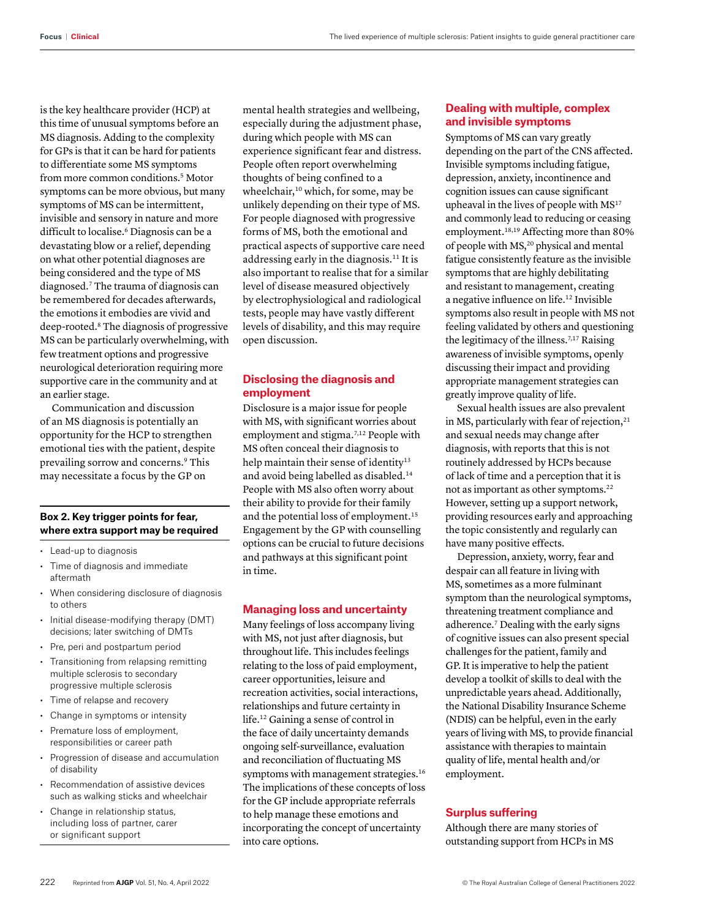is the key healthcare provider (HCP) at this time of unusual symptoms before an MS diagnosis. Adding to the complexity for GPs is that it can be hard for patients to differentiate some MS symptoms from more common conditions.5 Motor symptoms can be more obvious, but many symptoms of MS can be intermittent, invisible and sensory in nature and more difficult to localise.<sup>6</sup> Diagnosis can be a devastating blow or a relief, depending on what other potential diagnoses are being considered and the type of MS diagnosed.7 The trauma of diagnosis can be remembered for decades afterwards, the emotions it embodies are vivid and deep-rooted.8 The diagnosis of progressive MS can be particularly overwhelming, with few treatment options and progressive neurological deterioration requiring more supportive care in the community and at an earlier stage.

Communication and discussion of an MS diagnosis is potentially an opportunity for the HCP to strengthen emotional ties with the patient, despite prevailing sorrow and concerns.9 This may necessitate a focus by the GP on

## **Box 2. Key trigger points for fear, where extra support may be required**

- Lead-up to diagnosis
- Time of diagnosis and immediate aftermath
- When considering disclosure of diagnosis to others
- Initial disease-modifying therapy (DMT) decisions; later switching of DMTs
- Pre, peri and postpartum period
- Transitioning from relapsing remitting multiple sclerosis to secondary progressive multiple sclerosis
- Time of relapse and recovery
- Change in symptoms or intensity
- Premature loss of employment, responsibilities or career path
- Progression of disease and accumulation of disability
- Recommendation of assistive devices such as walking sticks and wheelchair
- Change in relationship status, including loss of partner, carer or significant support

mental health strategies and wellbeing, especially during the adjustment phase, during which people with MS can experience significant fear and distress. People often report overwhelming thoughts of being confined to a wheelchair,<sup>10</sup> which, for some, may be unlikely depending on their type of MS. For people diagnosed with progressive forms of MS, both the emotional and practical aspects of supportive care need addressing early in the diagnosis.11 It is also important to realise that for a similar level of disease measured objectively by electrophysiological and radiological tests, people may have vastly different levels of disability, and this may require open discussion.

# **Disclosing the diagnosis and employment**

Disclosure is a major issue for people with MS, with significant worries about employment and stigma.<sup>7,12</sup> People with MS often conceal their diagnosis to help maintain their sense of identity<sup>13</sup> and avoid being labelled as disabled.14 People with MS also often worry about their ability to provide for their family and the potential loss of employment.<sup>15</sup> Engagement by the GP with counselling options can be crucial to future decisions and pathways at this significant point in time.

# **Managing loss and uncertainty**

Many feelings of loss accompany living with MS, not just after diagnosis, but throughout life. This includes feelings relating to the loss of paid employment, career opportunities, leisure and recreation activities, social interactions, relationships and future certainty in life.12 Gaining a sense of control in the face of daily uncertainty demands ongoing self-surveillance, evaluation and reconciliation of fluctuating MS symptoms with management strategies.<sup>16</sup> The implications of these concepts of loss for the GP include appropriate referrals to help manage these emotions and incorporating the concept of uncertainty into care options.

# **Dealing with multiple, complex and invisible symptoms**

Symptoms of MS can vary greatly depending on the part of the CNS affected. Invisible symptoms including fatigue, depression, anxiety, incontinence and cognition issues can cause significant upheaval in the lives of people with MS<sup>17</sup> and commonly lead to reducing or ceasing employment.<sup>18,19</sup> Affecting more than 80% of people with MS,<sup>20</sup> physical and mental fatigue consistently feature as the invisible symptoms that are highly debilitating and resistant to management, creating a negative influence on life.12 Invisible symptoms also result in people with MS not feeling validated by others and questioning the legitimacy of the illness.<sup>7,17</sup> Raising awareness of invisible symptoms, openly discussing their impact and providing appropriate management strategies can greatly improve quality of life.

Sexual health issues are also prevalent in MS, particularly with fear of rejection, $21$ and sexual needs may change after diagnosis, with reports that this is not routinely addressed by HCPs because of lack of time and a perception that it is not as important as other symptoms.22 However, setting up a support network, providing resources early and approaching the topic consistently and regularly can have many positive effects.

Depression, anxiety, worry, fear and despair can all feature in living with MS, sometimes as a more fulminant symptom than the neurological symptoms, threatening treatment compliance and adherence.7 Dealing with the early signs of cognitive issues can also present special challenges for the patient, family and GP. It is imperative to help the patient develop a toolkit of skills to deal with the unpredictable years ahead. Additionally, the National Disability Insurance Scheme (NDIS) can be helpful, even in the early years of living with MS, to provide financial assistance with therapies to maintain quality of life, mental health and/or employment.

# **Surplus suffering**

Although there are many stories of outstanding support from HCPs in MS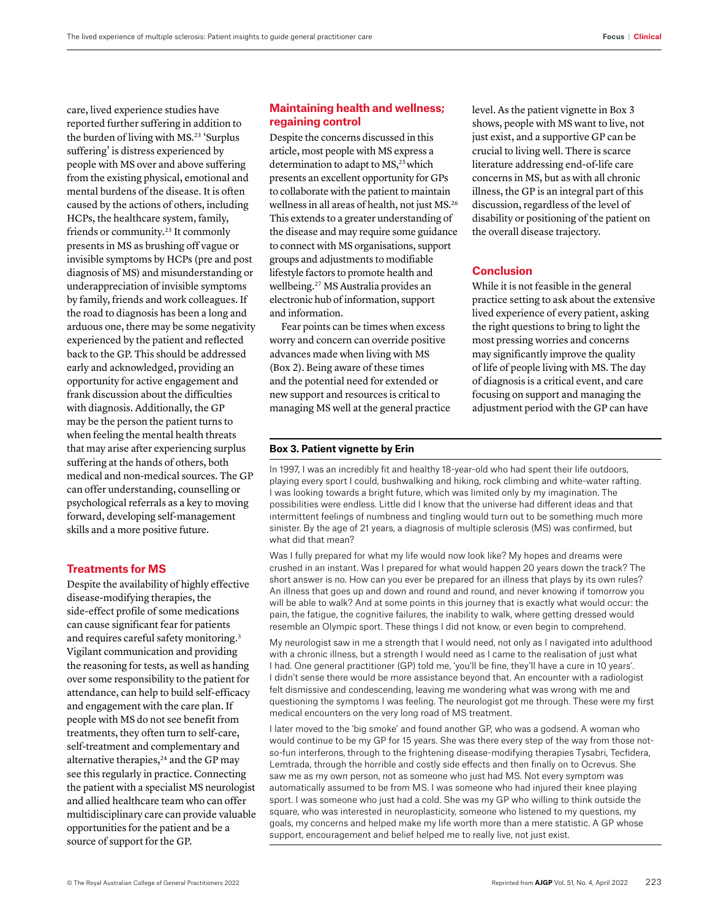care, lived experience studies have reported further suffering in addition to the burden of living with MS.23 'Surplus suffering' is distress experienced by people with MS over and above suffering from the existing physical, emotional and mental burdens of the disease. It is often caused by the actions of others, including HCPs, the healthcare system, family, friends or community.23 It commonly presents in MS as brushing off vague or invisible symptoms by HCPs (pre and post diagnosis of MS) and misunderstanding or underappreciation of invisible symptoms by family, friends and work colleagues. If the road to diagnosis has been a long and arduous one, there may be some negativity experienced by the patient and reflected back to the GP. This should be addressed early and acknowledged, providing an opportunity for active engagement and frank discussion about the difficulties with diagnosis. Additionally, the GP may be the person the patient turns to when feeling the mental health threats that may arise after experiencing surplus suffering at the hands of others, both medical and non-medical sources. The GP can offer understanding, counselling or psychological referrals as a key to moving forward, developing self-management skills and a more positive future.

#### **Treatments for MS**

Despite the availability of highly effective disease-modifying therapies, the side-effect profile of some medications can cause significant fear for patients and requires careful safety monitoring.3 Vigilant communication and providing the reasoning for tests, as well as handing over some responsibility to the patient for attendance, can help to build self-efficacy and engagement with the care plan. If people with MS do not see benefit from treatments, they often turn to self-care, self-treatment and complementary and alternative therapies,<sup>24</sup> and the GP may see this regularly in practice. Connecting the patient with a specialist MS neurologist and allied healthcare team who can offer multidisciplinary care can provide valuable opportunities for the patient and be a source of support for the GP.

# **Maintaining health and wellness; regaining control**

Despite the concerns discussed in this article, most people with MS express a determination to adapt to MS,<sup>25</sup> which presents an excellent opportunity for GPs to collaborate with the patient to maintain wellness in all areas of health, not just MS.26 This extends to a greater understanding of the disease and may require some guidance to connect with MS organisations, support groups and adjustments to modifiable lifestyle factors to promote health and wellbeing.27 MS Australia provides an electronic hub of information, support and information.

Fear points can be times when excess worry and concern can override positive advances made when living with MS (Box 2). Being aware of these times and the potential need for extended or new support and resources is critical to managing MS well at the general practice level. As the patient vignette in Box 3 shows, people with MS want to live, not just exist, and a supportive GP can be crucial to living well. There is scarce literature addressing end-of-life care concerns in MS, but as with all chronic illness, the GP is an integral part of this discussion, regardless of the level of disability or positioning of the patient on the overall disease trajectory.

#### **Conclusion**

While it is not feasible in the general practice setting to ask about the extensive lived experience of every patient, asking the right questions to bring to light the most pressing worries and concerns may significantly improve the quality of life of people living with MS. The day of diagnosis is a critical event, and care focusing on support and managing the adjustment period with the GP can have

#### **Box 3. Patient vignette by Erin**

In 1997, I was an incredibly fit and healthy 18-year-old who had spent their life outdoors, playing every sport I could, bushwalking and hiking, rock climbing and white-water rafting. I was looking towards a bright future, which was limited only by my imagination. The possibilities were endless. Little did I know that the universe had different ideas and that intermittent feelings of numbness and tingling would turn out to be something much more sinister. By the age of 21 years, a diagnosis of multiple sclerosis (MS) was confirmed, but what did that mean?

Was I fully prepared for what my life would now look like? My hopes and dreams were crushed in an instant. Was I prepared for what would happen 20 years down the track? The short answer is no. How can you ever be prepared for an illness that plays by its own rules? An illness that goes up and down and round and round, and never knowing if tomorrow you will be able to walk? And at some points in this journey that is exactly what would occur: the pain, the fatigue, the cognitive failures, the inability to walk, where getting dressed would resemble an Olympic sport. These things I did not know, or even begin to comprehend.

My neurologist saw in me a strength that I would need, not only as I navigated into adulthood with a chronic illness, but a strength I would need as I came to the realisation of just what I had. One general practitioner (GP) told me, 'you'll be fine, they'll have a cure in 10 years'. I didn't sense there would be more assistance beyond that. An encounter with a radiologist felt dismissive and condescending, leaving me wondering what was wrong with me and questioning the symptoms I was feeling. The neurologist got me through. These were my first medical encounters on the very long road of MS treatment.

I later moved to the 'big smoke' and found another GP, who was a godsend. A woman who would continue to be my GP for 15 years. She was there every step of the way from those notso-fun interferons, through to the frightening disease-modifying therapies Tysabri, Tecfidera, Lemtrada, through the horrible and costly side effects and then finally on to Ocrevus. She saw me as my own person, not as someone who just had MS. Not every symptom was automatically assumed to be from MS. I was someone who had injured their knee playing sport. I was someone who just had a cold. She was my GP who willing to think outside the square, who was interested in neuroplasticity, someone who listened to my questions, my goals, my concerns and helped make my life worth more than a mere statistic. A GP whose support, encouragement and belief helped me to really live, not just exist.